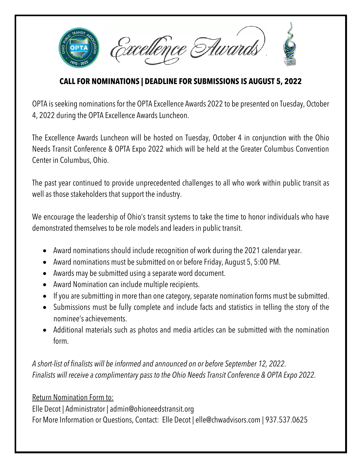

## **CALL FOR NOMINATIONS | DEADLINE FOR SUBMISSIONS IS AUGUST 5, 2022**

OPTA is seeking nominations for the OPTA Excellence Awards 2022 to be presented on Tuesday, October 4, 2022 during the OPTA Excellence Awards Luncheon.

The Excellence Awards Luncheon will be hosted on Tuesday, October 4 in conjunction with the Ohio Needs Transit Conference & OPTA Expo 2022 which will be held at the Greater Columbus Convention Center in Columbus, Ohio.

The past year continued to provide unprecedented challenges to all who work within public transit as well as those stakeholders that support the industry.

We encourage the leadership of Ohio's transit systems to take the time to honor individuals who have demonstrated themselves to be role models and leaders in public transit.

- Award nominations should include recognition of work during the 2021 calendar year.
- Award nominations must be submitted on or before Friday, August 5, 5:00 PM.
- Awards may be submitted using a separate word document.
- Award Nomination can include multiple recipients.
- If you are submitting in more than one category, separate nomination forms must be submitted.
- Submissions must be fully complete and include facts and statistics in telling the story of the nominee's achievements.
- Additional materials such as photos and media articles can be submitted with the nomination form.

*A short-list of finalists will be informed and announced on or before September 12, 2022*. *Finalists will receive a complimentary pass to the Ohio Needs Transit Conference & OPTA Expo 2022.*

Return Nomination Form to:

Elle Decot | Administrator | admin@ohioneedstransit.org For More Information or Questions, Contact: Elle Decot | elle@chwadvisors.com | 937.537.0625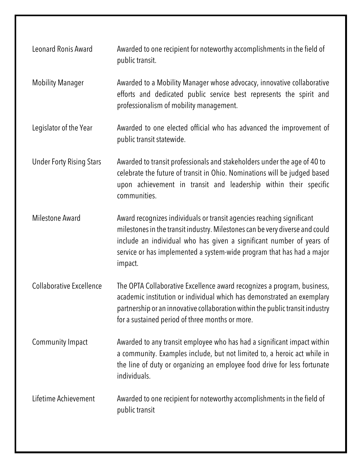| Leonard Ronis Award             | Awarded to one recipient for noteworthy accomplishments in the field of<br>public transit.                                                                                                                                                                                                                        |
|---------------------------------|-------------------------------------------------------------------------------------------------------------------------------------------------------------------------------------------------------------------------------------------------------------------------------------------------------------------|
| <b>Mobility Manager</b>         | Awarded to a Mobility Manager whose advocacy, innovative collaborative<br>efforts and dedicated public service best represents the spirit and<br>professionalism of mobility management.                                                                                                                          |
| Legislator of the Year          | Awarded to one elected official who has advanced the improvement of<br>public transit statewide.                                                                                                                                                                                                                  |
| <b>Under Forty Rising Stars</b> | Awarded to transit professionals and stakeholders under the age of 40 to<br>celebrate the future of transit in Ohio. Nominations will be judged based<br>upon achievement in transit and leadership within their specific<br>communities.                                                                         |
| <b>Milestone Award</b>          | Award recognizes individuals or transit agencies reaching significant<br>milestones in the transit industry. Milestones can be very diverse and could<br>include an individual who has given a significant number of years of<br>service or has implemented a system-wide program that has had a major<br>impact. |
| <b>Collaborative Excellence</b> | The OPTA Collaborative Excellence award recognizes a program, business,<br>academic institution or individual which has demonstrated an exemplary<br>partnership or an innovative collaboration within the public transit industry<br>for a sustained period of three months or more.                             |
| Community Impact                | Awarded to any transit employee who has had a significant impact within<br>a community. Examples include, but not limited to, a heroic act while in<br>the line of duty or organizing an employee food drive for less fortunate<br>individuals.                                                                   |
| Lifetime Achievement            | Awarded to one recipient for noteworthy accomplishments in the field of<br>public transit                                                                                                                                                                                                                         |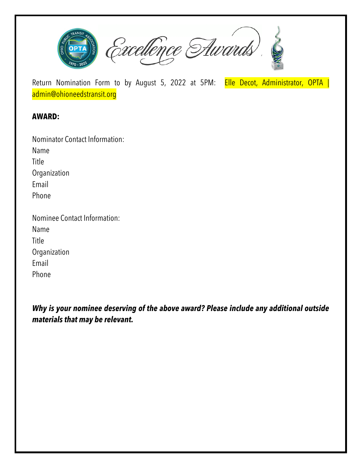

Return Nomination Form to by August 5, 2022 at 5PM: Elle Decot, Administrator, OPTA | admin@ohioneedstransit.org

## **AWARD:**

| <b>Nominator Contact Information:</b> |  |
|---------------------------------------|--|
| Name                                  |  |
| Title                                 |  |
| Organization                          |  |
| Email                                 |  |
| Phone                                 |  |
| Nominee Contact Information:          |  |
| Name                                  |  |
| Title                                 |  |
| Organization                          |  |

Email

Phone

*Why is your nominee deserving of the above award? Please include any additional outside materials that may be relevant.*